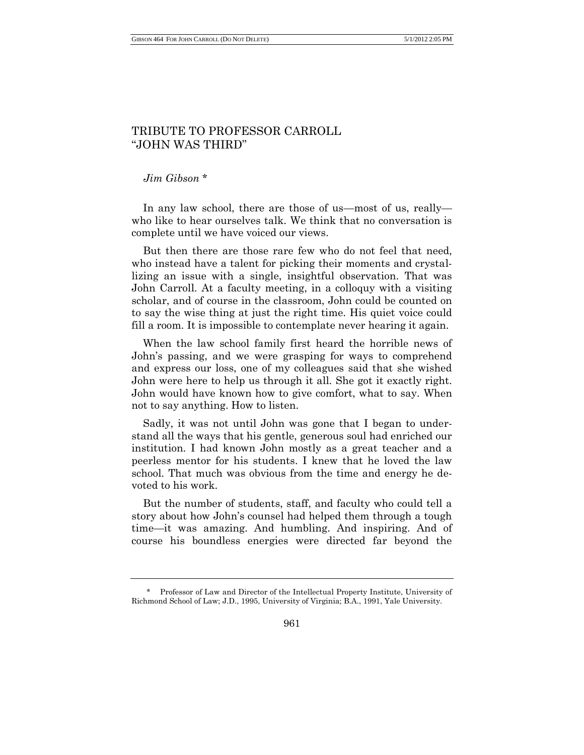## TRIBUTE TO PROFESSOR CARROLL "JOHN WAS THIRD"

*Jim Gibson* \*

In any law school, there are those of us—most of us, really who like to hear ourselves talk. We think that no conversation is complete until we have voiced our views.

But then there are those rare few who do not feel that need, who instead have a talent for picking their moments and crystallizing an issue with a single, insightful observation. That was John Carroll. At a faculty meeting, in a colloquy with a visiting scholar, and of course in the classroom, John could be counted on to say the wise thing at just the right time. His quiet voice could fill a room. It is impossible to contemplate never hearing it again.

When the law school family first heard the horrible news of John's passing, and we were grasping for ways to comprehend and express our loss, one of my colleagues said that she wished John were here to help us through it all. She got it exactly right. John would have known how to give comfort, what to say. When not to say anything. How to listen.

Sadly, it was not until John was gone that I began to understand all the ways that his gentle, generous soul had enriched our institution. I had known John mostly as a great teacher and a peerless mentor for his students. I knew that he loved the law school. That much was obvious from the time and energy he devoted to his work.

But the number of students, staff, and faculty who could tell a story about how John's counsel had helped them through a tough time—it was amazing. And humbling. And inspiring. And of course his boundless energies were directed far beyond the

<sup>\*</sup> Professor of Law and Director of the Intellectual Property Institute, University of Richmond School of Law; J.D., 1995, University of Virginia; B.A., 1991, Yale University.